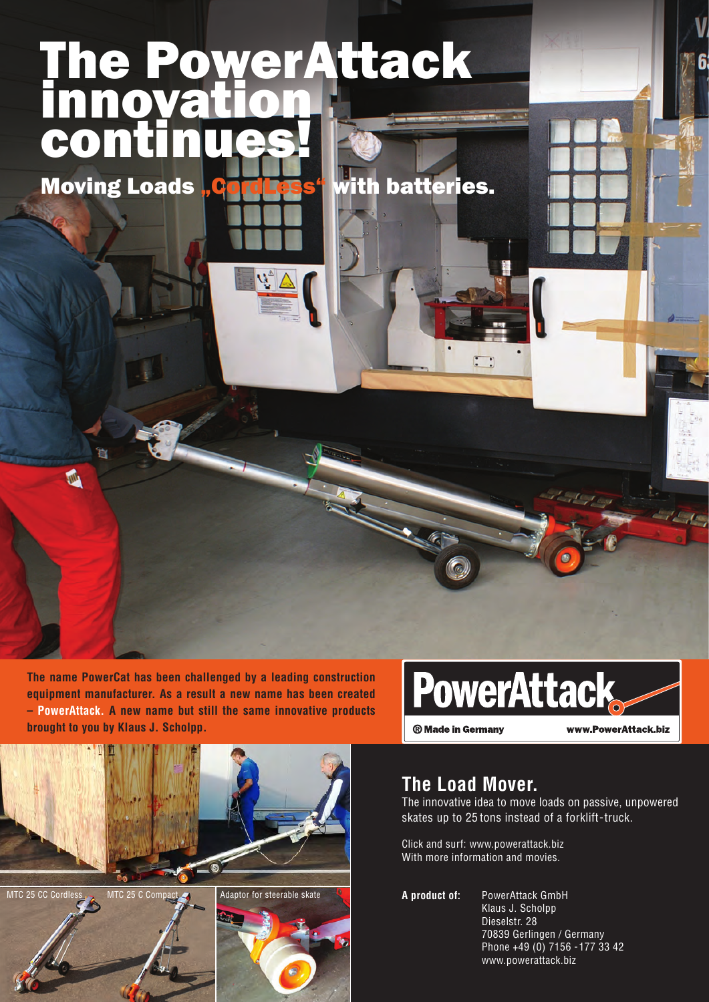# The PowerAttack innovation conti

Moving Loads "CordLess" with batteries.

**And** 

**The name PowerCat has been challenged by a leading construction equipment manufacturer. As a result a new name has been created – PowerAttack. A new name but still the same innovative products brought to you by Klaus J. Scholpp.**



www.PowerAttack.biz



## **The Load Mover.**

The innovative idea to move loads on passive, unpowered skates up to 25 tons instead of a forklift-truck.

Click and surf: www.powerattack.biz With more information and movies.

**A product of:** PowerAttack GmbH Klaus J. Scholpp Dieselstr. 28 70839 Gerlingen / Germany Phone +49 (0) 7156 -177 33 42 www.powerattack.biz